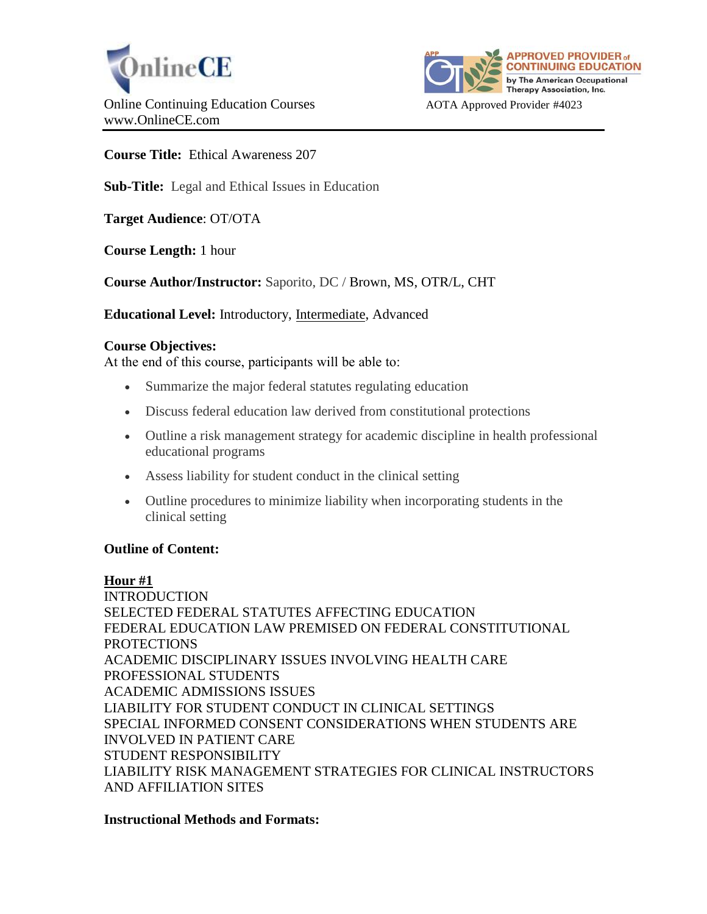



**Course Title:** Ethical Awareness 207

**Sub-Title:** Legal and Ethical Issues in Education

**Target Audience**: OT/OTA

**Course Length:** 1 hour

**Course Author/Instructor:** Saporito, DC / Brown, MS, OTR/L, CHT

**Educational Level:** Introductory, Intermediate, Advanced

## **Course Objectives:**

At the end of this course, participants will be able to:

- Summarize the major federal statutes regulating education
- Discuss federal education law derived from constitutional protections
- Outline a risk management strategy for academic discipline in health professional educational programs
- Assess liability for student conduct in the clinical setting
- Outline procedures to minimize liability when incorporating students in the clinical setting

# **Outline of Content:**

**Hour #1**

INTRODUCTION SELECTED FEDERAL STATUTES AFFECTING EDUCATION FEDERAL EDUCATION LAW PREMISED ON FEDERAL CONSTITUTIONAL PROTECTIONS ACADEMIC DISCIPLINARY ISSUES INVOLVING HEALTH CARE PROFESSIONAL STUDENTS ACADEMIC ADMISSIONS ISSUES LIABILITY FOR STUDENT CONDUCT IN CLINICAL SETTINGS SPECIAL INFORMED CONSENT CONSIDERATIONS WHEN STUDENTS ARE INVOLVED IN PATIENT CARE STUDENT RESPONSIBILITY LIABILITY RISK MANAGEMENT STRATEGIES FOR CLINICAL INSTRUCTORS AND AFFILIATION SITES

#### **Instructional Methods and Formats:**